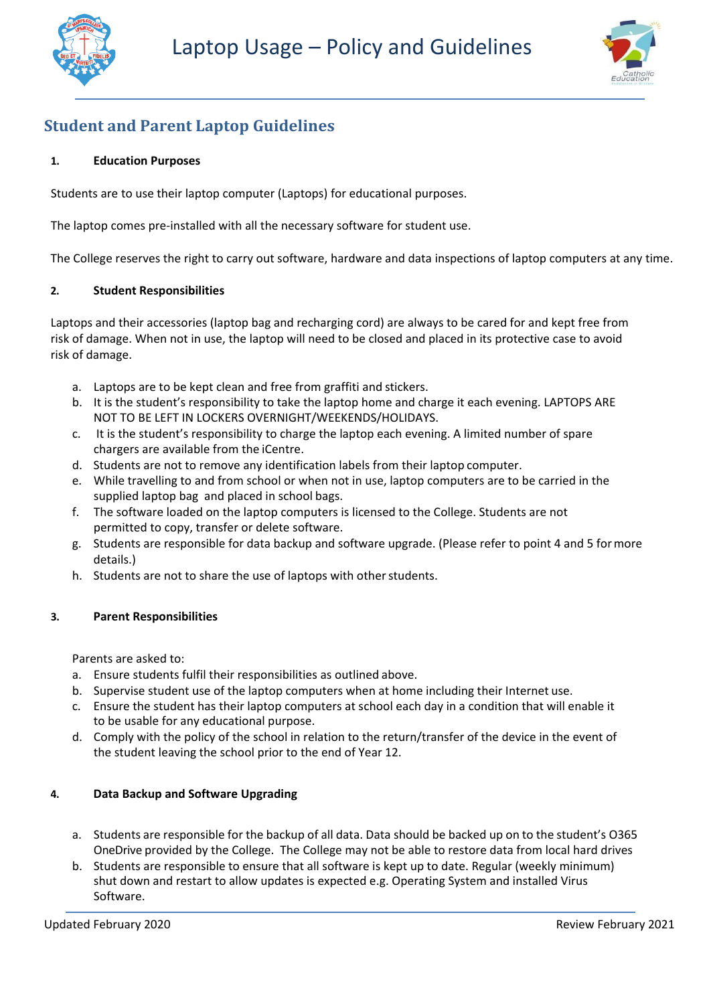



# **Student and Parent Laptop Guidelines**

## **1. Education Purposes**

Students are to use their laptop computer (Laptops) for educational purposes.

The laptop comes pre-installed with all the necessary software for student use.

The College reserves the right to carry out software, hardware and data inspections of laptop computers at any time.

## **2. Student Responsibilities**

Laptops and their accessories (laptop bag and recharging cord) are always to be cared for and kept free from risk of damage. When not in use, the laptop will need to be closed and placed in its protective case to avoid risk of damage.

- a. Laptops are to be kept clean and free from graffiti and stickers.
- b. It is the student's responsibility to take the laptop home and charge it each evening. LAPTOPS ARE NOT TO BE LEFT IN LOCKERS OVERNIGHT/WEEKENDS/HOLIDAYS.
- c. It is the student's responsibility to charge the laptop each evening. A limited number of spare chargers are available from the iCentre.
- d. Students are not to remove any identification labels from their laptop computer.
- e. While travelling to and from school or when not in use, laptop computers are to be carried in the supplied laptop bag and placed in school bags.
- f. The software loaded on the laptop computers is licensed to the College. Students are not permitted to copy, transfer or delete software.
- g. Students are responsible for data backup and software upgrade. (Please refer to point 4 and 5 formore details.)
- h. Students are not to share the use of laptops with other students.

## **3. Parent Responsibilities**

Parents are asked to:

- a. Ensure students fulfil their responsibilities as outlined above.
- b. Supervise student use of the laptop computers when at home including their Internet use.
- c. Ensure the student has their laptop computers at school each day in a condition that will enable it to be usable for any educational purpose.
- d. Comply with the policy of the school in relation to the return/transfer of the device in the event of the student leaving the school prior to the end of Year 12.

# **4. Data Backup and Software Upgrading**

- a. Students are responsible for the backup of all data. Data should be backed up on to the student's O365 OneDrive provided by the College. The College may not be able to restore data from local hard drives
- b. Students are responsible to ensure that all software is kept up to date. Regular (weekly minimum) shut down and restart to allow updates is expected e.g. Operating System and installed Virus Software.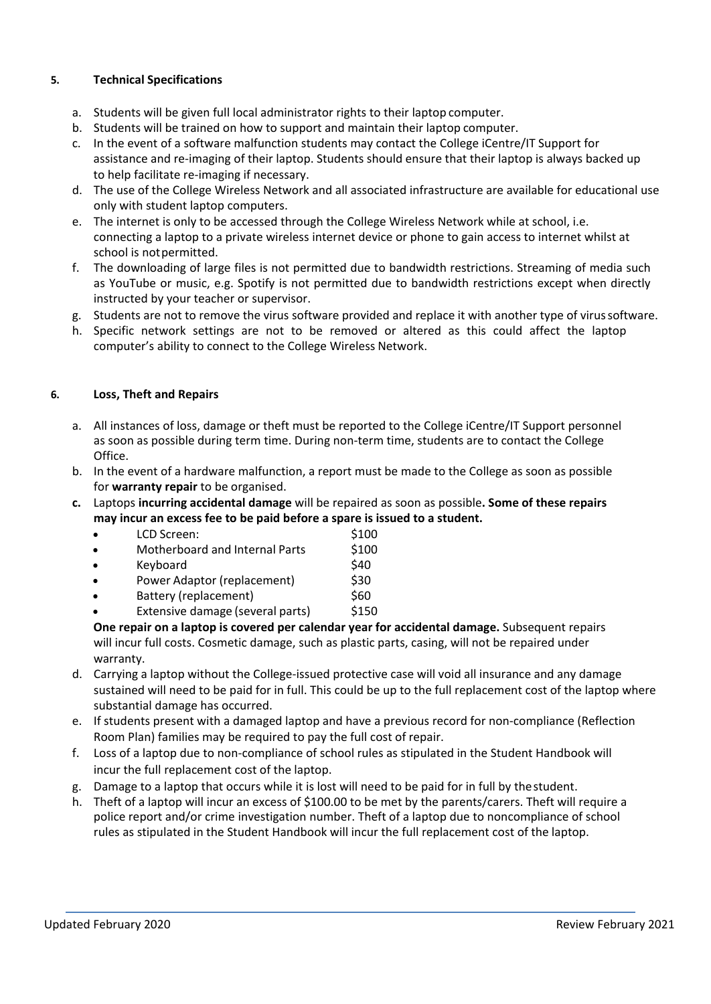# **5. Technical Specifications**

- a. Students will be given full local administrator rights to their laptop computer.
- b. Students will be trained on how to support and maintain their laptop computer.
- c. In the event of a software malfunction students may contact the College iCentre/IT Support for assistance and re-imaging of their laptop. Students should ensure that their laptop is always backed up to help facilitate re-imaging if necessary.
- d. The use of the College Wireless Network and all associated infrastructure are available for educational use only with student laptop computers.
- e. The internet is only to be accessed through the College Wireless Network while at school, i.e. connecting a laptop to a private wireless internet device or phone to gain access to internet whilst at school is notpermitted.
- f. The downloading of large files is not permitted due to bandwidth restrictions. Streaming of media such as YouTube or music, e.g. Spotify is not permitted due to bandwidth restrictions except when directly instructed by your teacher or supervisor.
- g. Students are not to remove the virus software provided and replace it with another type of virussoftware.
- h. Specific network settings are not to be removed or altered as this could affect the laptop computer's ability to connect to the College Wireless Network.

## **6. Loss, Theft and Repairs**

- a. All instances of loss, damage or theft must be reported to the College iCentre/IT Support personnel as soon as possible during term time. During non-term time, students are to contact the College Office.
- b. In the event of a hardware malfunction, a report must be made to the College as soon as possible for **warranty repair** to be organised.
- **c.** Laptops **incurring accidental damage** will be repaired as soon as possible**. Some of these repairs may incur an excess fee to be paid before a spare is issued to a student.**

| $\bullet$ | LCD Screen:                           | \$100 |
|-----------|---------------------------------------|-------|
| $\bullet$ | <b>Motherboard and Internal Parts</b> | \$100 |
| $\bullet$ | Keyboard                              | \$40  |
| $\bullet$ | Power Adaptor (replacement)           | \$30  |
| $\bullet$ | Battery (replacement)                 | \$60  |
| $\bullet$ | Extensive damage (several parts)      | \$150 |
|           |                                       |       |

**One repair on a laptop is covered per calendar year for accidental damage.** Subsequent repairs will incur full costs. Cosmetic damage, such as plastic parts, casing, will not be repaired under warranty.

- d. Carrying a laptop without the College-issued protective case will void all insurance and any damage sustained will need to be paid for in full. This could be up to the full replacement cost of the laptop where substantial damage has occurred.
- e. If students present with a damaged laptop and have a previous record for non-compliance (Reflection Room Plan) families may be required to pay the full cost of repair.
- f. Loss of a laptop due to non-compliance of school rules as stipulated in the Student Handbook will incur the full replacement cost of the laptop.
- g. Damage to a laptop that occurs while it is lost will need to be paid for in full by thestudent.
- h. Theft of a laptop will incur an excess of \$100.00 to be met by the parents/carers. Theft will require a police report and/or crime investigation number. Theft of a laptop due to noncompliance of school rules as stipulated in the Student Handbook will incur the full replacement cost of the laptop.